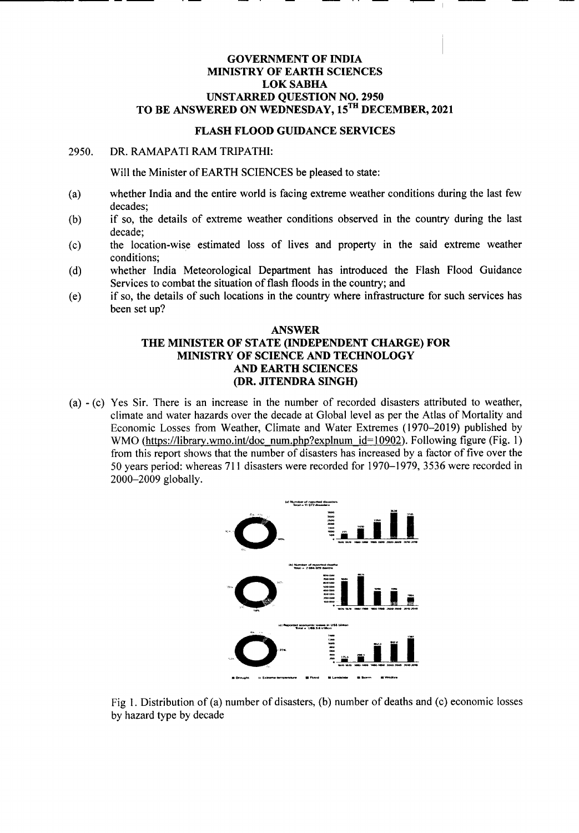### GOVERNMENT OF INDIA MINISTRY OF EARTH SCIENCES LOKSABHA UNSTARRED QUESTION NO. 2950 TO BE ANSWERED ON WEDNESDAY, 15TH DECEMBER, 2021

## FLASH FLOOD GUIDANCE SERVICES

### 2950. DR. RAMAPATI RAM TRIPATHI:

----------- ---- -----

Will the Minister of EARTH SCIENCES be pleased to state:

- (a) whether India and the entire world is facing extreme weather conditions during the last few decades;
- (b) if so, the details of extreme weather conditions observed in the country during the last decade;
- (c) the location-wise estimated loss of lives and property in the said extreme weather conditions;
- (d) whether India Meteorological Department has introduced the Flash Flood Guidance Services to combat the situation of flash floods in the country; and
- (e) if so, the details of such locations in the country where infrastructure for such services has been set up?

### ANSWER THE MINISTER OF STATE (INDEPENDENT CHARGE) FOR MINISTRY OF SCIENCE AND TECHNOLOGY AND EARTH SCIENCES (DR. JITENDRA SINGH)

(a) - (c) Yes Sir. There is an increase in the number of recorded disasters attributed to weather, climate and water hazards over the decade at Global level as per the Atlas of Mortality and Economic Losses from Weather, Climate and Water Extremes (1970-2019) published by WMO (https://library.wmo.int/doc\_num.php?explnum\_id=10902). Following figure (Fig. 1) from this report shows that the number of disasters has increased by a factor of five over the 50 years period: whereas 711 disasters were recorded for 1970-1979, 3536 were recorded in 2000-2009 globally.



Fig 1. Distribution of (a) number of disasters, (b) number of deaths and (c) economic losses by hazard type by decade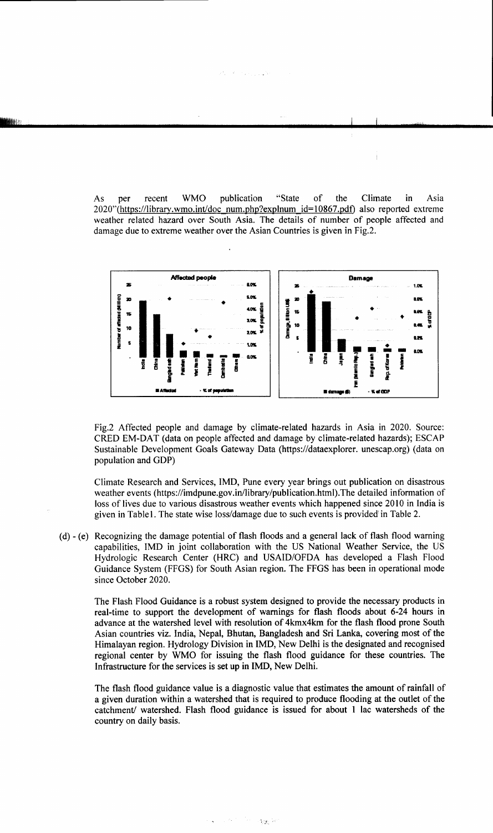**WMO** publication "State of the Climate in  $As$ recent Asia per 2020"(https://library.wmo.int/doc\_num.php?explnum\_id=10867.pdf) also reported extreme weather related hazard over South Asia. The details of number of people affected and damage due to extreme weather over the Asian Countries is given in Fig.2.



Fig.2 Affected people and damage by climate-related hazards in Asia in 2020. Source: CRED EM-DAT (data on people affected and damage by climate-related hazards); ESCAP Sustainable Development Goals Gateway Data (https://dataexplorer. unescap.org) (data on population and GDP)

Climate Research and Services, IMD, Pune every year brings out publication on disastrous weather events (https://imdpune.gov.in/library/publication.html). The detailed information of loss of lives due to various disastrous weather events which happened since 2010 in India is given in Table1. The state wise loss/damage due to such events is provided in Table 2.

(d) - (e) Recognizing the damage potential of flash floods and a general lack of flash flood warning capabilities, IMD in joint collaboration with the US National Weather Service, the US Hydrologic Research Center (HRC) and USAID/OFDA has developed a Flash Flood Guidance System (FFGS) for South Asian region. The FFGS has been in operational mode since October 2020.

The Flash Flood Guidance is a robust system designed to provide the necessary products in real-time to support the development of warnings for flash floods about 6-24 hours in advance at the watershed level with resolution of 4kmx4km for the flash flood prone South Asian countries viz. India, Nepal, Bhutan, Bangladesh and Sri Lanka, covering most of the Himalayan region. Hydrology Division in IMD, New Delhi is the designated and recognised regional center by WMO for issuing the flash flood guidance for these countries. The Infrastructure for the services is set up in IMD, New Delhi.

The flash flood guidance value is a diagnostic value that estimates the amount of rainfall of a given duration within a watershed that is required to produce flooding at the outlet of the catchment/ watershed. Flash flood guidance is issued for about 1 lac watersheds of the country on daily basis.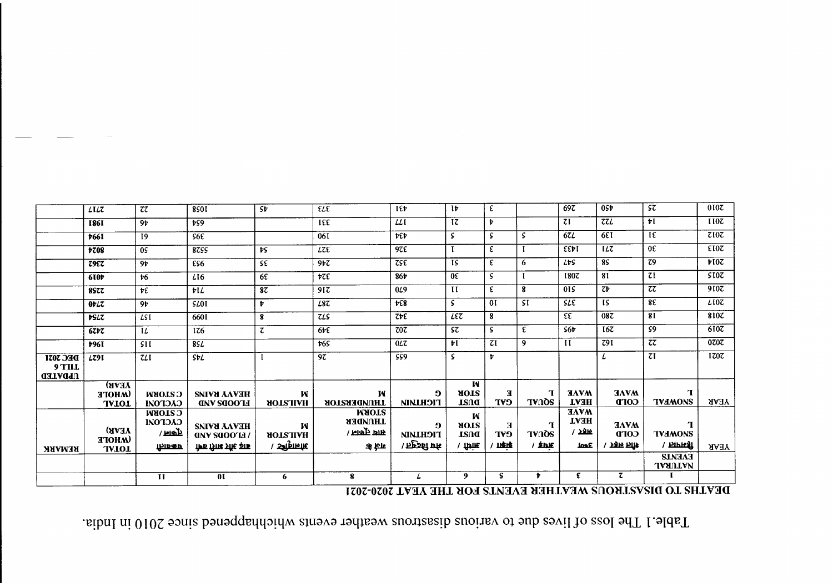Table.1 The loss of lives due to various insastrous weather events whichhappened since 2010 in India.

|                                                 | LILZ                                        | ττ                                                 | 8501                                                                | SÞ                                     | ELE                                           | TEP                                     | IÞ                                        | ε                          |                              | 69 T                                          | 0SV.                                     | Sτ                                  | 010Z                             |
|-------------------------------------------------|---------------------------------------------|----------------------------------------------------|---------------------------------------------------------------------|----------------------------------------|-----------------------------------------------|-----------------------------------------|-------------------------------------------|----------------------------|------------------------------|-----------------------------------------------|------------------------------------------|-------------------------------------|----------------------------------|
|                                                 | <b>I861</b>                                 | $\overline{9}$                                     | tS9                                                                 |                                        | TEE                                           | LLI                                     | 17 <sup>2</sup>                           | $\mathbf{r}$               |                              | $\tau$                                        | $\overline{ZZL}$                         | $\mathbf{H}$                        | <b>II07</b>                      |
|                                                 | F66I                                        | <b>I9</b>                                          | 56E                                                                 |                                        | 06I                                           | <b>PEP</b>                              | $\mathsf{s}$                              | $\mathsf S$                | ς                            | 67L                                           | 681                                      | $\overline{\text{1}\epsilon}$       | $\overline{z}$ 10 $\overline{z}$ |
|                                                 | t708                                        | 0S                                                 | 8755                                                                | ÞS.                                    | LZE                                           | 97E                                     |                                           | ε                          |                              | EEDI                                          | <b>ILZ</b>                               | $\overline{0E}$                     | EIOZ                             |
|                                                 | 2967                                        | 9 <sub>b</sub>                                     | ES6                                                                 | SE                                     | 9 <sub>b</sub> z                              | ZSE                                     | ŢS.                                       | £                          | 6                            | LVS                                           | 8S                                       | $\overline{z}$                      | b107                             |
|                                                 | 610 <b>t</b>                                | $\overline{6}$                                     | L16                                                                 | 6E                                     | rτε                                           | 86t                                     | $0\epsilon$                               | $\mathsf S$                |                              | 180Z                                          | 81                                       | $\overline{z}$                      | \$107                            |
|                                                 | 8STZ                                        | $\overline{\mathbf{r}\mathbf{v}}$                  | tL                                                                  | 87                                     | 917                                           | 0L9                                     | $\mathbf{I}$                              | ε                          | 8                            | <b>OIS</b>                                    | 7 <sub>t</sub>                           | $\overline{z}\overline{z}$          | 9107                             |
|                                                 | 0 <sub>LZ</sub>                             | 9 <sub>b</sub>                                     | <b>SLOT</b>                                                         | Þ                                      | L8Z                                           | <b>VE8</b>                              | $\mathsf{s}$                              | 0 <sub>I</sub>             | $\overline{\mathsf{SI}}$     | SLE                                           | <b>IS</b>                                | 8E                                  | LIOZ                             |
|                                                 | <b>VSLZ</b>                                 | LSI                                                | 6601                                                                | 8                                      | $\overline{z}$                                | 755                                     | LEZ                                       | 8                          |                              | $\overline{\epsilon}$                         | <b>087</b>                               | 8I                                  | 8107                             |
|                                                 | $62+z$                                      | L                                                  | 176                                                                 | $\mathcal{L}$                          | 6tE                                           | z <sub>0</sub> z                        | $\mathsf{S}\mathsf{Z}$                    | S.                         | £.                           | S6t                                           | 167                                      | $\overline{S9}$                     | 6107                             |
|                                                 | <b>1961</b>                                 | $\overline{\mathsf{SII}}$                          | 8SL                                                                 |                                        | $\sqrt{65}$                                   | 0LZ                                     | $\overline{v}$                            | $\overline{z}$             | 9                            | $\mathbf{H}$                                  | 79I                                      | $\tau\tau$                          | 0707                             |
| DEC <sub>3021</sub><br>9 TILL<br><b>ALLYGAL</b> | <b>LZ91</b>                                 | $\overline{z}$                                     | <b>StL</b>                                                          |                                        | $\overline{9z}$                               | ss9                                     | -S                                        | Þ                          |                              |                                               | L                                        | $\tau$                              | 1707                             |
|                                                 | <b>YEAR</b><br><b>MHOTE</b><br><b>TOTAL</b> | <b>CSTORM</b><br><b>CACTOMI</b>                    | <b>HEAVYRAINS</b><br><b>HLOODS AND</b>                              | W<br><b>AOTZIIAH</b>                   | W<br><b>THUNDERSTOR</b>                       | Ð<br><b>TICHLIAIN</b>                   | W<br><b>NOTE</b><br><b>LSOO</b>           | $\mathbf{H}$<br><b>CVF</b> | $\mathbf{T}$<br><b>TVNOS</b> | <b>HAVM</b><br><b>HEAT</b>                    | MAVE<br><b>COFD</b>                      | <b>TVIMONS</b>                      | <b>YEAR</b>                      |
|                                                 | <b>YEAR</b> )<br><b>AMOTE</b>               | <b>CSTORM</b><br><b>CACTOMI</b><br>े लक्कू<br>किकल | <b>HEAVYRAINS</b><br><b>IFLOODS AND</b><br><b>TPG f5TR FIRE STB</b> | M<br><b>HAILSTIAR</b><br>∖ उनीट्टारूा≰ | <b>MAOTE</b><br><b>LHNMDEK</b><br>\ नाक तूफान | Ð<br><b>NINLHOIT</b><br>मेघ प्रिटर्कर । | <b>M</b><br><b>STOR</b><br>LSAC<br>firine | Т<br><b>CVF</b><br>聘请      | π<br><b>TVNOS</b><br>अंघड    | <b>MVAE</b><br><b>HEAT</b><br>े रुहान<br>loss | <b>MVAE</b><br><b>COFD</b><br>रुक्रम जी? | T<br><b>TVIMONS</b><br><b>БІРБЯ</b> |                                  |
| <b>REMARK</b>                                   | <b>TATOT</b>                                |                                                    |                                                                     |                                        | क है।                                         |                                         |                                           |                            |                              |                                               |                                          | <b>EAEAL2</b><br><b>TVHALVN</b>     | <b>YEAR</b>                      |
|                                                 |                                             | $\overline{\mathbf{u}}$                            | 0 <sub>I</sub>                                                      | 6                                      | $\mathbf{R}$                                  | L                                       | 9.                                        | S.                         | Þ                            | £                                             | τ                                        |                                     |                                  |

# DEATHS TO DISASTROUS WEATHER EVENTS FOR THE YEAT 2020-2021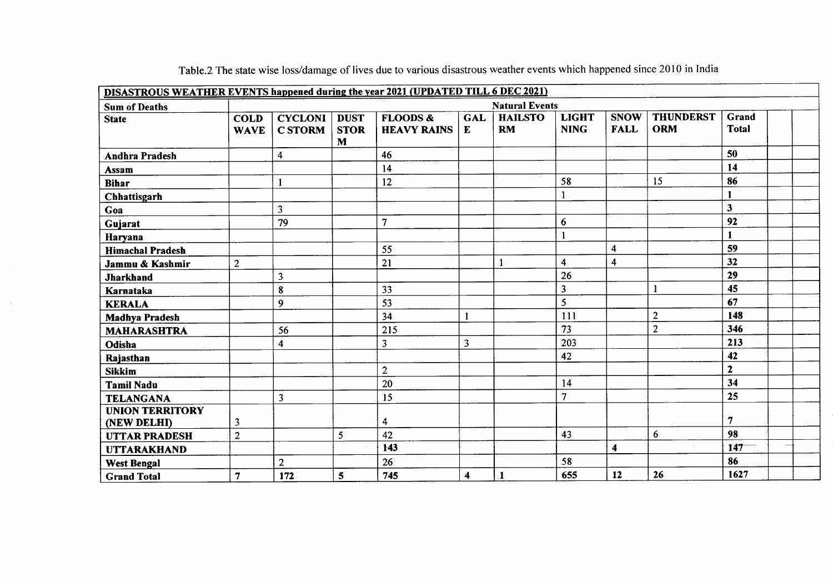| DISASTROUS WEATHER EVENTS happened during the year 2021 (UPDATED TILL 6 DEC 2021) |                            |                                  |                                 |                                           |                         |                             |                             |                            |                                |                         |  |
|-----------------------------------------------------------------------------------|----------------------------|----------------------------------|---------------------------------|-------------------------------------------|-------------------------|-----------------------------|-----------------------------|----------------------------|--------------------------------|-------------------------|--|
| <b>Sum of Deaths</b>                                                              |                            |                                  |                                 |                                           |                         | <b>Natural Events</b>       |                             |                            |                                |                         |  |
| <b>State</b>                                                                      | <b>COLD</b><br><b>WAVE</b> | <b>CYCLONI</b><br><b>C STORM</b> | <b>DUST</b><br><b>STOR</b><br>M | <b>FLOODS &amp;</b><br><b>HEAVY RAINS</b> | <b>GAL</b><br>E         | <b>HAILSTO</b><br><b>RM</b> | <b>LIGHT</b><br><b>NING</b> | <b>SNOW</b><br><b>FALL</b> | <b>THUNDERST</b><br><b>ORM</b> | Grand<br><b>Total</b>   |  |
| <b>Andhra Pradesh</b>                                                             |                            | $\overline{4}$                   |                                 | 46                                        |                         |                             |                             |                            |                                | 50                      |  |
| Assam                                                                             |                            |                                  |                                 | 14                                        |                         |                             |                             |                            |                                | 14                      |  |
| <b>Bihar</b>                                                                      |                            |                                  |                                 | 12                                        |                         |                             | 58                          |                            | 15                             | 86                      |  |
| <b>Chhattisgarh</b>                                                               |                            |                                  |                                 |                                           |                         |                             | $\mathbf{1}$                |                            |                                |                         |  |
| Goa                                                                               |                            | 3                                |                                 |                                           |                         |                             |                             |                            |                                | $\overline{\mathbf{3}}$ |  |
| Gujarat                                                                           |                            | 79                               |                                 | $\overline{7}$                            |                         |                             | $\boldsymbol{6}$            |                            |                                | 92                      |  |
| Haryana                                                                           |                            |                                  |                                 |                                           |                         |                             | $\mathbf{1}$                |                            |                                |                         |  |
| <b>Himachal Pradesh</b>                                                           |                            |                                  |                                 | 55                                        |                         |                             |                             | 4                          |                                | 59                      |  |
| Jammu & Kashmir                                                                   | $\overline{2}$             |                                  |                                 | 21                                        |                         |                             | $\overline{\mathbf{4}}$     | $\overline{\mathbf{4}}$    |                                | 32                      |  |
| <b>Jharkhand</b>                                                                  |                            | $\overline{\mathbf{3}}$          |                                 |                                           |                         |                             | 26                          |                            |                                | 29                      |  |
| Karnataka                                                                         |                            | 8                                |                                 | 33                                        |                         |                             | 3                           |                            | 1                              | 45                      |  |
| <b>KERALA</b>                                                                     |                            | 9                                |                                 | 53                                        |                         |                             | 5                           |                            |                                | 67                      |  |
| <b>Madhya Pradesh</b>                                                             |                            |                                  |                                 | 34                                        |                         |                             | 111                         |                            | $\overline{2}$                 | 148                     |  |
| <b>MAHARASHTRA</b>                                                                |                            | 56                               |                                 | 215                                       |                         |                             | 73                          |                            | $\overline{c}$                 | 346                     |  |
| Odisha                                                                            |                            | $\overline{\mathbf{4}}$          |                                 | $\overline{\mathbf{3}}$                   | $\overline{\mathbf{3}}$ |                             | 203                         |                            |                                | 213                     |  |
| Rajasthan                                                                         |                            |                                  |                                 |                                           |                         |                             | 42                          |                            |                                | 42                      |  |
| <b>Sikkim</b>                                                                     |                            |                                  |                                 | $\boldsymbol{2}$                          |                         |                             |                             |                            |                                | $\mathbf{2}$            |  |
| <b>Tamil Nadu</b>                                                                 |                            |                                  |                                 | 20                                        |                         |                             | 14                          |                            |                                | 34                      |  |
| <b>TELANGANA</b>                                                                  |                            | 3                                |                                 | 15                                        |                         |                             | $\overline{7}$              |                            |                                | 25                      |  |
| <b>UNION TERRITORY</b>                                                            |                            |                                  |                                 |                                           |                         |                             |                             |                            |                                |                         |  |
| (NEW DELHI)                                                                       | 3                          |                                  |                                 | 4                                         |                         |                             |                             |                            |                                | 7                       |  |
| <b>UTTAR PRADESH</b>                                                              | $\mathbf{2}$               |                                  | 5                               | 42                                        |                         |                             | 43                          |                            | $6\phantom{1}$                 | 98                      |  |
| <b>UTTARAKHAND</b>                                                                |                            |                                  |                                 | 143                                       |                         |                             |                             | 4                          |                                | 147                     |  |
| <b>West Bengal</b>                                                                |                            | $\overline{2}$                   |                                 | 26                                        |                         |                             | 58                          |                            |                                | 86                      |  |
| <b>Grand Total</b>                                                                | $\overline{7}$             | 172                              | 5                               | 745                                       | $\overline{\mathbf{4}}$ | $\mathbf{1}$                | 655                         | 12                         | 26                             | 1627                    |  |

Table.2 The state wise loss/damage of lives due to various disastrous weather events which happened since 2010 in India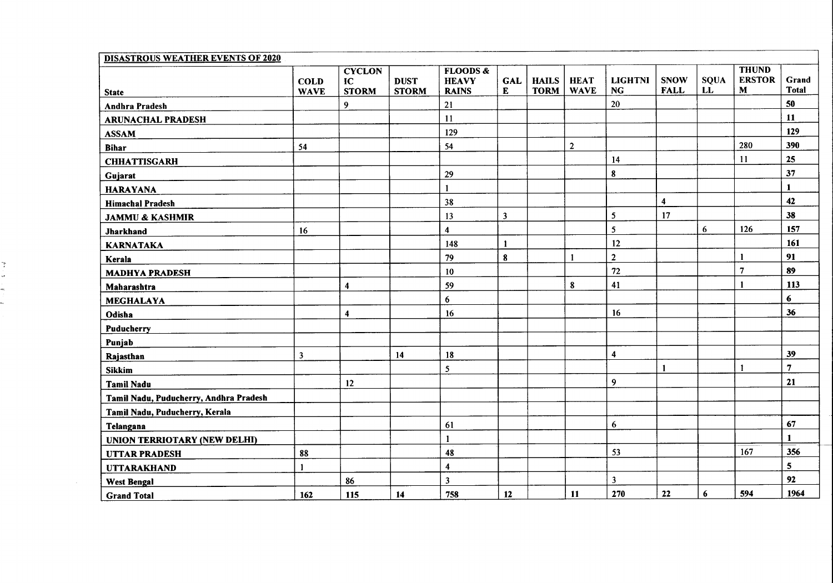| <b>DISASTROUS WEATHER EVENTS OF 2020</b> |             |                         |              |                                     |                         |              |                |                         |                         |              |                               |                |
|------------------------------------------|-------------|-------------------------|--------------|-------------------------------------|-------------------------|--------------|----------------|-------------------------|-------------------------|--------------|-------------------------------|----------------|
|                                          | <b>COLD</b> | <b>CYCLON</b><br>IC     | <b>DUST</b>  | <b>FLOODS &amp;</b><br><b>HEAVY</b> | GAL                     | <b>HAILS</b> | <b>HEAT</b>    | <b>LIGHTNI</b>          | <b>SNOW</b>             | <b>SQUA</b>  | <b>THUND</b><br><b>ERSTOR</b> | Grand          |
| <b>State</b>                             | <b>WAVE</b> | <b>STORM</b>            | <b>STORM</b> | <b>RAINS</b>                        | E                       | <b>TORM</b>  | <b>WAVE</b>    | <b>NG</b>               | <b>FALL</b>             | $\mathbf{L}$ | M                             | <b>Total</b>   |
| <b>Andhra Pradesh</b>                    |             | 9                       |              | 21                                  |                         |              |                | 20                      |                         |              |                               | 50             |
| <b>ARUNACHAL PRADESH</b>                 |             |                         |              | 11                                  |                         |              |                |                         |                         |              |                               | 11             |
| <b>ASSAM</b>                             |             |                         |              | 129                                 |                         |              |                |                         |                         |              |                               | 129            |
| <b>Bihar</b>                             | 54          |                         |              | 54                                  |                         |              | $\overline{2}$ |                         |                         |              | 280                           | 390            |
| <b>CHHATTISGARH</b>                      |             |                         |              |                                     |                         |              |                | 14                      |                         |              | 11                            | 25             |
| Gujarat                                  |             |                         |              | 29                                  |                         |              |                | 8                       |                         |              |                               | 37             |
| <b>HARAYANA</b>                          |             |                         |              | $\mathbf{1}$                        |                         |              |                |                         |                         |              |                               | $\mathbf{1}$   |
| <b>Himachal Pradesh</b>                  |             |                         |              | 38                                  |                         |              |                |                         | $\overline{\mathbf{4}}$ |              |                               | 42             |
| <b>JAMMU &amp; KASHMIR</b>               |             |                         |              | 13                                  | $\overline{\mathbf{3}}$ |              |                | 5                       | 17                      |              |                               | 38             |
| Jharkhand                                | 16          |                         |              | $\overline{\mathbf{4}}$             |                         |              |                | 5                       |                         | 6            | 126                           | 157            |
| <b>KARNATAKA</b>                         |             |                         |              | 148                                 | $\mathbf{1}$            |              |                | 12                      |                         |              |                               | 161            |
| Kerala                                   |             |                         |              | 79                                  | 8                       |              |                | $\overline{2}$          |                         |              | 1                             | 91             |
| <b>MADHYA PRADESH</b>                    |             |                         |              | 10                                  |                         |              |                | 72                      |                         |              | $\overline{7}$                | 89             |
| Maharashtra                              |             | $\overline{\mathbf{4}}$ |              | 59                                  |                         |              | 8              | 41                      |                         |              |                               | 113            |
| <b>MEGHALAYA</b>                         |             |                         |              | $6\phantom{a}$                      |                         |              |                |                         |                         |              |                               | 6              |
| Odisha                                   |             | $\overline{\mathbf{4}}$ |              | 16                                  |                         |              |                | 16                      |                         |              |                               | 36             |
| Puducherry                               |             |                         |              |                                     |                         |              |                |                         |                         |              |                               |                |
| Punjab                                   |             |                         |              |                                     |                         |              |                |                         |                         |              |                               |                |
| Rajasthan                                | 3           |                         | 14           | 18                                  |                         |              |                | $\overline{\mathbf{4}}$ |                         |              |                               | 39             |
| <b>Sikkim</b>                            |             |                         |              | 5                                   |                         |              |                |                         |                         |              |                               | $\overline{7}$ |
| <b>Tamil Nadu</b>                        |             | 12                      |              |                                     |                         |              |                | 9                       |                         |              |                               | 21             |
| Tamil Nadu, Puducherry, Andhra Pradesh   |             |                         |              |                                     |                         |              |                |                         |                         |              |                               |                |
| Tamil Nadu, Puducherry, Kerala           |             |                         |              |                                     |                         |              |                |                         |                         |              |                               |                |
| Telangana                                |             |                         |              | 61                                  |                         |              |                | 6                       |                         |              |                               | 67             |
| <b>UNION TERRIOTARY (NEW DELHI)</b>      |             |                         |              | $\mathbf{1}$                        |                         |              |                |                         |                         |              |                               |                |
| <b>UTTAR PRADESH</b>                     | 88          |                         |              | 48                                  |                         |              |                | 53                      |                         |              | 167                           | 356            |
| <b>UTTARAKHAND</b>                       | -1          |                         |              | $\overline{\mathbf{4}}$             |                         |              |                |                         |                         |              |                               | 5              |
| <b>West Bengal</b>                       |             | 86                      |              | $\overline{\mathbf{3}}$             |                         |              |                | $\overline{\mathbf{3}}$ |                         |              |                               | 92             |
| <b>Grand Total</b>                       | 162         | 115                     | 14           | 758                                 | 12                      |              | 11             | 270                     | 22                      | 6            | 594                           | 1964           |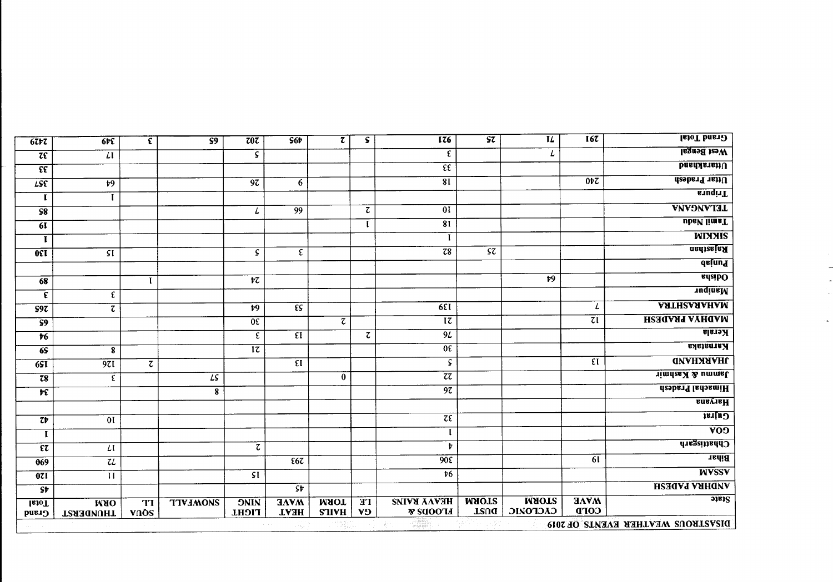| 62t                                   | 655                      | $\overline{\epsilon}$    | $\overline{S9}$ | $\overline{z}0\overline{z}$           | S6F                      | $\tau$             | S             | $\overline{176}$           | $\overline{\mathsf{S}\mathsf{Z}}$ | IL.             | 167                                   | <b>Serand Total</b>               |
|---------------------------------------|--------------------------|--------------------------|-----------------|---------------------------------------|--------------------------|--------------------|---------------|----------------------------|-----------------------------------|-----------------|---------------------------------------|-----------------------------------|
| $\overline{\mathfrak{z}\mathfrak{c}}$ | $\mathcal{L}$            |                          |                 | $\overline{\varsigma}$                |                          |                    |               | $\overline{\epsilon}$      |                                   | L               |                                       | West Bengal                       |
| $\overline{\mathfrak{E}}$             |                          |                          |                 |                                       |                          |                    |               | $\overline{\epsilon}$      |                                   |                 |                                       | <b>busdAstanU</b>                 |
| LSE                                   | $\overline{129}$         |                          |                 | $\overline{9z}$                       | 6                        |                    |               | $\overline{81}$            |                                   |                 | 0 <sup>t</sup>                        | Uttar Pradesh                     |
| I                                     | $\mathbf{I}$             |                          |                 |                                       |                          |                    |               |                            |                                   |                 |                                       | <b>E</b> uqirT                    |
| $\overline{\mathsf{S8}}$              |                          |                          |                 | L                                     | 99                       |                    | $\zeta$       | $\overline{0}$             |                                   |                 |                                       | <b>TELANGANA</b>                  |
| $\overline{6I}$                       |                          |                          |                 |                                       |                          |                    | Ι.            | 81                         |                                   |                 |                                       | ubsV limeT                        |
| $\mathbf{I}$                          |                          |                          |                 |                                       |                          |                    |               | $\mathbf I$                |                                   |                 |                                       | <b>WINNIS</b>                     |
| $\overline{0}$                        | $\overline{\mathsf{SI}}$ |                          |                 | S.                                    | $\overline{\epsilon}$    |                    |               | $\overline{z}$             | $\overline{\mathsf{S}\mathsf{Z}}$ |                 |                                       | <b><i><u>natizajas</u></i></b>    |
|                                       |                          |                          |                 |                                       |                          |                    |               |                            |                                   |                 |                                       | <u>dajang</u>                     |
| 68                                    |                          | $\mathbf I$              |                 | $\overline{\mathfrak{r}\mathfrak{c}}$ |                          |                    |               |                            |                                   | $\overline{1}$  |                                       | <b>AdibO</b>                      |
| $\epsilon$                            | ε                        |                          |                 |                                       |                          |                    |               |                            |                                   |                 |                                       | <b>undingM</b>                    |
| 597                                   | $\overline{\mathcal{L}}$ |                          |                 | $\overline{1}$                        | $\overline{\epsilon}$ s  |                    |               | 65I                        |                                   |                 | L                                     | <b>AATH2ARAHAM</b>                |
| $\overline{S9}$                       |                          |                          |                 | $0\epsilon$                           |                          | $\overline{\zeta}$ |               | $\overline{\iota\iota}$    |                                   |                 | $\overline{\mathfrak{c}\mathfrak{l}}$ | <b>MADHYA PRADESH</b>             |
| $\overline{16}$                       |                          |                          |                 | $\boldsymbol{\epsilon}$               | $\epsilon$               |                    | $\mathcal{I}$ | 9L                         |                                   |                 |                                       | <b>Kerala</b>                     |
| $\overline{6S}$                       | $\bf{8}$                 |                          |                 | $\overline{\mathfrak{l}\mathfrak{l}}$ |                          |                    |               | $\overline{0\epsilon}$     |                                   |                 |                                       | Karnataka                         |
| $\overline{6S1}$                      | $\overline{971}$         | $\overline{\mathcal{C}}$ |                 |                                       | $\overline{\epsilon}$    |                    |               | S                          |                                   |                 | $\overline{\mathfrak{gl}}$            | <b>UNANAIAD</b>                   |
| $\overline{78}$                       | ε                        |                          | $\overline{LS}$ |                                       |                          | $\overline{0}$     |               | $\overline{z\overline{z}}$ |                                   |                 |                                       | Jimnu & Kashmir                   |
| $\overline{\mathbf{r}\mathbf{t}}$     |                          |                          | 8               |                                       |                          |                    |               | $\overline{9z}$            |                                   |                 |                                       | Himachal Pradesh                  |
|                                       |                          |                          |                 |                                       |                          |                    |               |                            |                                   |                 |                                       | <b>BUBY16H</b>                    |
| $\overline{z}$                        | 0 <sub>I</sub>           |                          |                 |                                       |                          |                    |               | $\overline{z\epsilon}$     |                                   |                 |                                       | Gujrat                            |
| $\mathbf I$                           |                          |                          |                 |                                       |                          |                    |               | $\mathbf{I}$               |                                   |                 |                                       | $\overline{VOO}$                  |
| $\overline{\mathfrak{c}\mathfrak{c}}$ | $\overline{L}$           |                          |                 | τ                                     |                          |                    |               | $\mathbf{r}$               |                                   |                 |                                       | <b>Chhattisgarh</b>               |
| 069                                   | $\overline{u}$           |                          |                 |                                       | $\overline{66}$          |                    |               | $\overline{90}$            |                                   |                 | 6I                                    | <b>Bihar</b>                      |
|                                       | $\overline{\mathbf{H}}$  |                          |                 | SI                                    |                          |                    |               | $\sqrt{6}$                 |                                   |                 |                                       | <b>WVSSV</b>                      |
| 0ZI<br>$\overline{\mathsf{S}t}$       |                          |                          |                 |                                       | $\overline{\mathsf{S}v}$ |                    |               |                            |                                   |                 |                                       | <b>ANDHRA PADESH</b>              |
|                                       |                          |                          | <b>TIVIMONS</b> | <b>ONINC</b>                          | <b>MAVE</b>              | <b>MAOT</b>        | <b>TE</b>     | <b>HEVAL KVINZ</b>         | <b>MAOT2</b>                      | <b>MAOTS</b>    | <b>MAVVE</b>                          | siate                             |
| <b>IsioT</b><br><b>Grand</b>          | <b>ORM</b><br>THUNDERST  | $\overline{11}$<br>vnos  |                 | <b>LHOIT</b>                          | <b>HEAT</b>              | <b>S'IIVH</b>      | <b>V9</b>     | <b>NOODS</b>               | Tzua                              | <b>CACFOMIC</b> | <b>COPD</b>                           |                                   |
|                                       |                          |                          |                 |                                       |                          |                    |               | <b>A</b>                   |                                   |                 |                                       | DISASTROUS WEATHER EVENTS OF 2019 |

 $\sim$   $\infty$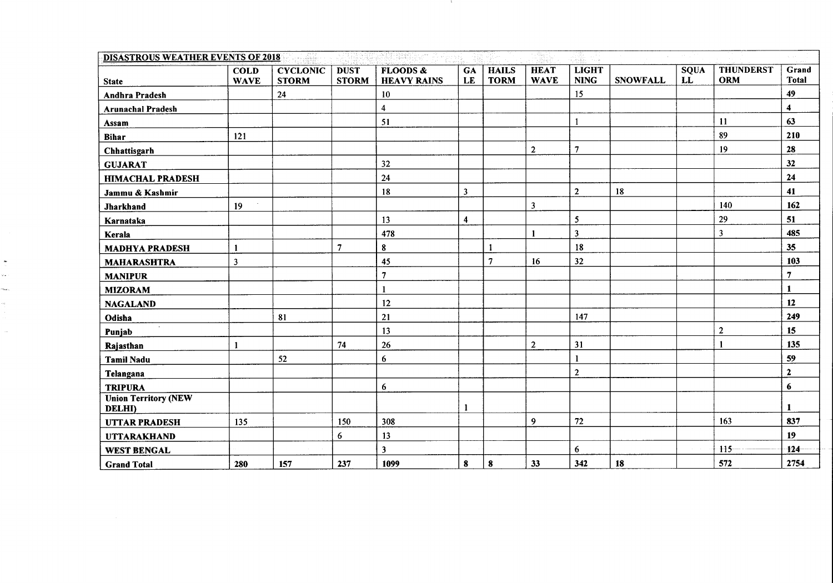| <b>State</b>                                  | <b>COLD</b><br><b>WAVE</b> | <b>CYCLONIC</b><br><b>STORM</b> | <b>DUST</b><br><b>STORM</b> | <b>FLOODS &amp;</b><br><b>HEAVY RAINS</b> | GA<br>LE                | <b>HAILS</b><br><b>TORM</b> | <b>HEAT</b><br><b>WAVE</b> | <b>LIGHT</b><br><b>NING</b> | <b>SNOWFALL</b> | <b>SQUA</b><br>LL | <b>THUNDERST</b><br><b>ORM</b> | Grand<br><b>Total</b> |
|-----------------------------------------------|----------------------------|---------------------------------|-----------------------------|-------------------------------------------|-------------------------|-----------------------------|----------------------------|-----------------------------|-----------------|-------------------|--------------------------------|-----------------------|
| Andhra Pradesh                                |                            | 24                              |                             | 10                                        |                         |                             |                            | 15                          |                 |                   |                                | 49                    |
| <b>Arunachal Pradesh</b>                      |                            |                                 |                             | 4                                         |                         |                             |                            |                             |                 |                   |                                | 4                     |
| Assam                                         |                            |                                 |                             | 51                                        |                         |                             |                            | $\mathbf{1}$                |                 |                   | 11                             | 63                    |
| <b>Bihar</b>                                  | 121                        |                                 |                             |                                           |                         |                             |                            |                             |                 |                   | 89                             | 210                   |
| Chhattisgarh                                  |                            |                                 |                             |                                           |                         |                             | $\overline{2}$             | $\overline{7}$              |                 |                   | 19                             | 28                    |
| <b>GUJARAT</b>                                |                            |                                 |                             | 32                                        |                         |                             |                            |                             |                 |                   |                                | 32                    |
| <b>HIMACHAL PRADESH</b>                       |                            |                                 |                             | 24                                        |                         |                             |                            |                             |                 |                   |                                | 24                    |
| Jammu & Kashmir                               |                            |                                 |                             | 18                                        | $\mathbf{3}$            |                             |                            | $\overline{2}$              | 18              |                   |                                | 41                    |
| <b>Jharkhand</b>                              | 19                         |                                 |                             |                                           |                         |                             | $\overline{\mathbf{3}}$    |                             |                 |                   | 140                            | 162                   |
| Karnataka                                     |                            |                                 |                             | 13                                        | $\overline{\mathbf{4}}$ |                             |                            | 5                           |                 |                   | 29                             | 51                    |
| Kerala                                        |                            |                                 |                             | 478                                       |                         |                             |                            | $\overline{\mathbf{3}}$     |                 |                   | $\overline{\mathbf{3}}$        | 485                   |
| <b>MADHYA PRADESH</b>                         | $\mathbf{1}$               |                                 | $\overline{7}$              | 8                                         |                         | 1                           |                            | 18                          |                 |                   |                                | 35                    |
| <b>MAHARASHTRA</b>                            | 3                          |                                 |                             | 45                                        |                         | $\overline{7}$              | 16                         | 32                          |                 |                   |                                | 103                   |
| <b>MANIPUR</b>                                |                            |                                 |                             | $\overline{7}$                            |                         |                             |                            |                             |                 |                   |                                | $\overline{7}$        |
| <b>MIZORAM</b>                                |                            |                                 |                             |                                           |                         |                             |                            |                             |                 |                   |                                | 1                     |
| <b>NAGALAND</b>                               |                            |                                 |                             | 12                                        |                         |                             |                            |                             |                 |                   |                                | 12                    |
| Odisha                                        |                            | 81                              |                             | 21                                        |                         |                             |                            | 147                         |                 |                   |                                | 249                   |
| $\sim$<br>Punjab                              |                            |                                 |                             | 13                                        |                         |                             |                            |                             |                 |                   | $\mathbf{2}$                   | 15                    |
| Rajasthan                                     | $\mathbf{1}$               |                                 | 74                          | 26                                        |                         |                             | $\overline{2}$             | 31                          |                 |                   |                                | 135                   |
| <b>Tamil Nadu</b>                             |                            | 52                              |                             | 6                                         |                         |                             |                            |                             |                 |                   |                                | 59                    |
| Telangana                                     |                            |                                 |                             |                                           |                         |                             |                            | $\boldsymbol{2}$            |                 |                   |                                | $\mathbf{2}$          |
| <b>TRIPURA</b>                                |                            |                                 |                             | 6                                         |                         |                             |                            |                             |                 |                   |                                | 6                     |
| <b>Union Territory (NEW</b><br><b>DELHI</b> ) |                            |                                 |                             |                                           | $\mathbf{1}$            |                             |                            |                             |                 |                   |                                |                       |
| <b>UTTAR PRADESH</b>                          | 135                        |                                 | 150                         | 308                                       |                         |                             | $\boldsymbol{9}$           | 72                          |                 |                   | 163                            | 837                   |
| <b>UTTARAKHAND</b>                            |                            |                                 | 6                           | 13                                        |                         |                             |                            |                             |                 |                   |                                | 19                    |
| <b>WEST BENGAL</b>                            |                            |                                 |                             | $\ddot{\mathbf{3}}$                       |                         |                             |                            | 6                           |                 |                   | H5                             | 124                   |
| <b>Grand Total</b>                            | 280                        | 157                             | 237                         | 1099                                      | 8                       | $\boldsymbol{8}$            | 33                         | 342                         | 18              |                   | 572                            | 2754                  |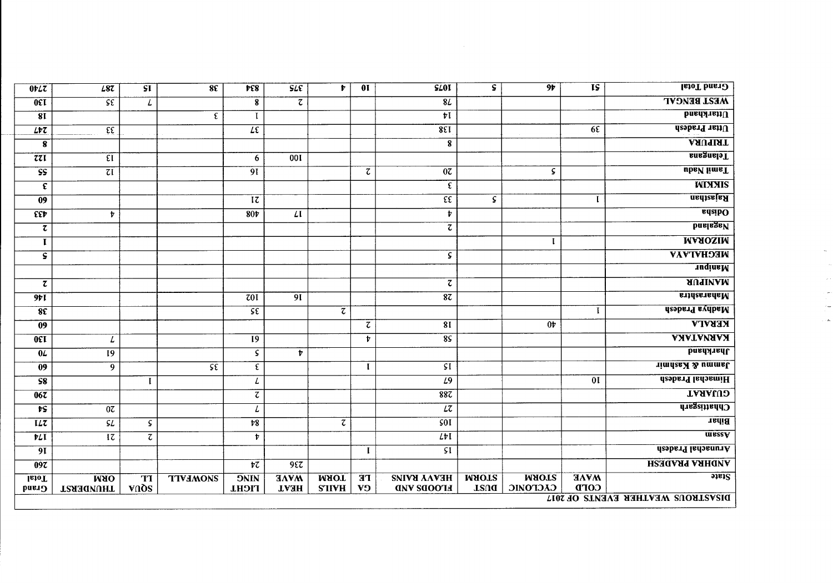| <b>Grand Total</b>                 | $\overline{\mathbf{15}}$                         | $\overline{9}$           | $\overline{\mathsf{s}}$ | <b>SLOT</b>                         | 0 <sub>I</sub>            | $\mathbf{r}$              | $\overline{\mathsf{SLE}}$ | E8                        | 8E                                  | $\overline{\mathsf{SI}}$ | L87                            | $0\nu\mathcal{L}\bar{\mathcal{L}}$ |
|------------------------------------|--------------------------------------------------|--------------------------|-------------------------|-------------------------------------|---------------------------|---------------------------|---------------------------|---------------------------|-------------------------------------|--------------------------|--------------------------------|------------------------------------|
| <b>WEST BENGAL</b>                 |                                                  |                          |                         | 8L                                  |                           |                           | τ                         | $\bf{8}$                  |                                     | L                        | $\overline{\mathsf{SE}}$       | $\overline{051}$                   |
| <b>Uttarkhand</b>                  |                                                  |                          |                         | $\overline{v}$                      |                           |                           |                           |                           | ε                                   |                          |                                | 8I                                 |
| Uttar Pradesh                      | 6E                                               |                          |                         | 8E1                                 |                           |                           |                           | $\overline{L\mathbf{E}}$  |                                     |                          | $\overline{\epsilon \epsilon}$ | $L$ rz                             |
| TRIPURA                            |                                                  |                          |                         | $\boldsymbol{8}$                    |                           |                           |                           |                           |                                     |                          |                                | $\bf8$                             |
| <b>EnsanslaT</b>                   |                                                  |                          |                         |                                     |                           |                           | 00I                       | 6                         |                                     |                          | $\overline{\epsilon}$          | $\overline{z\overline{z}}$         |
| ubsV limaT                         |                                                  | $\boldsymbol{\varsigma}$ |                         | $0\zeta$                            | $\overline{\mathfrak{c}}$ |                           |                           | 9I                        |                                     |                          | $\overline{\mathcal{C}}$       | $\overline{\mathsf{S}}\mathsf{S}$  |
| <b>WIXXIS</b>                      |                                                  |                          |                         | $\boldsymbol{\xi}$                  |                           |                           |                           |                           |                                     |                          |                                | $\overline{\epsilon}$              |
| <b>nadizajasi</b>                  | $\mathbf I$                                      |                          | $\overline{\varsigma}$  | $\overline{\epsilon}$               |                           |                           |                           | $\overline{\mathfrak{r}}$ |                                     |                          |                                | $\overline{09}$                    |
| <b><i><u><u>edaibO</u></u></i></b> |                                                  |                          |                         | $\pmb{\mathit{t}}$                  |                           |                           | $\mathcal{L}\mathbf{I}$   | 80 <sub>t</sub>           |                                     |                          | $\pmb{\nu}$                    | $\overline{\text{exp}}$            |
| <b>basisgeV</b>                    |                                                  |                          |                         | $\overline{\zeta}$                  |                           |                           |                           |                           |                                     |                          |                                | $\overline{\tau}$                  |
| <b>MADOSAM</b>                     |                                                  |                          |                         |                                     |                           |                           |                           |                           |                                     |                          |                                | $\mathbf{I}$                       |
| <b>MECHVIVAV</b>                   |                                                  |                          |                         | $\overline{\varsigma}$              |                           |                           |                           |                           |                                     |                          |                                | $\overline{\mathsf{s}}$            |
| <b>uqiasM</b>                      |                                                  |                          |                         |                                     |                           |                           |                           |                           |                                     |                          |                                |                                    |
| <b>AUSINAIR</b>                    |                                                  |                          |                         | $\overline{\textbf{c}}$             |                           |                           |                           |                           |                                     |                          |                                | $\tau$                             |
| Maharashtra                        |                                                  |                          |                         | 87                                  |                           |                           | $\overline{91}$           | $\overline{z}0I$          |                                     |                          |                                | 9t1                                |
| Madhya Pradesh                     | T                                                |                          |                         |                                     |                           | $\overline{\mathfrak{c}}$ |                           | $\overline{\mathsf{SE}}$  |                                     |                          |                                | 8E                                 |
| <b>KERALA</b>                      |                                                  | $\overline{0}$           |                         | $\overline{81}$                     | $\overline{\textbf{C}}$   |                           |                           |                           |                                     |                          |                                | $\overline{09}$                    |
| <b>VYKVIVATARY</b>                 |                                                  |                          |                         | $\overline{\mathbf{85}}$            | $\mathbf{t}$              |                           |                           | $\overline{19}$           |                                     |                          | L                              | $\overline{OEL}$                   |
| <b>Jharkhand</b>                   |                                                  |                          |                         |                                     |                           |                           | $\overline{r}$            | $\overline{\varsigma}$    |                                     |                          | $\overline{19}$                | 0L                                 |
| Jammu & Kashmir                    |                                                  |                          |                         | $\overline{\mathsf{SI}}$            | $\mathbf I$               |                           |                           | $\boldsymbol{\xi}$        | $\overline{\mathcal{S}\mathcal{E}}$ |                          | 9                              | $\overline{09}$                    |
| Himachal Pradesh                   | $\overline{0}$                                   |                          |                         | L9                                  |                           |                           |                           | L                         |                                     | $\mathbf I$              |                                | $\overline{\mathsf{S8}}$           |
| <b>GUJARAT</b>                     |                                                  |                          |                         | 887                                 |                           |                           |                           | $\overline{\mathcal{C}}$  |                                     |                          |                                | 067                                |
| <b>Chhattisgarh</b>                |                                                  |                          |                         | $\overline{L\zeta}$                 |                           |                           |                           | L                         |                                     |                          | $\overline{0\zeta}$            | $\overline{\boldsymbol{r}}$ s      |
| <b>Bihar</b>                       |                                                  |                          |                         | $\overline{\varsigma}$ <sub>0</sub> |                           | $\tau$                    |                           | $\overline{v}$            |                                     | $\overline{\mathsf{S}}$  | $\overline{SL}$                | $\overline{ILZ}$                   |
| <b>WESSY</b>                       |                                                  |                          |                         | L <sub>U</sub>                      |                           |                           |                           | $\mathbf{r}$              |                                     | $\overline{\mathcal{C}}$ | $\overline{\mathfrak{c}}$      | $\overline{V}$                     |
| Arunachal Pradesh                  |                                                  |                          |                         | $\overline{\mathsf{SI}}$            | $\mathbf{I}$              |                           |                           |                           |                                     |                          |                                | $\overline{9I}$                    |
| <b>ANDHRA PRADESH</b>              |                                                  |                          |                         |                                     |                           |                           | 957                       | $\overline{v}$            |                                     |                          |                                | 097                                |
| <b>State</b>                       | <b>MAVE</b>                                      | <b>MAOTS</b>             | <b>MAOT2</b>            | <b>HEAVINS</b>                      | $T$ E                     | <b>TORM</b>               | <b>MAVE</b>               | <b>ONIN</b>               | <b>TIVIMONS</b>                     | $\overline{\mathbf{T}}$  | <b>URM</b>                     | Total                              |
|                                    | <b>COFD</b><br>DISASTROUS WEATHER EVENTS OF 2017 | САСГОИІС                 | <b>LSNO</b>             | <b>HEOODS VMD</b>                   | <b>V9</b>                 | <b>S'IIVH</b>             | <b>HEAT</b>               | <b>TICHL</b>              |                                     | vnos                     | THUNDERST                      | Grand                              |

 $\omega_{\rm c}$  $\sim$   $\sigma$  $\sim$  $\frac{1}{2}$  and  $\frac{1}{2}$  $\hat{\mathcal{L}}$  on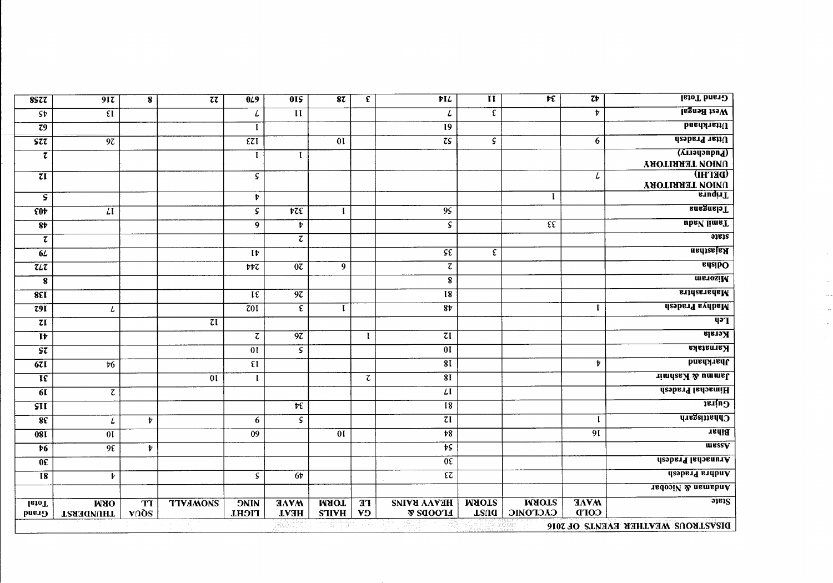| <b>Grand Total</b>                                | $\overline{z}$              | $\overline{\mathbf{r}\mathbf{c}}$ | $\overline{\mathfrak{u}}$ | VI                                    | $\overline{\epsilon}$           | $\overline{\mathbf{87}}$     | $\overline{0}$                                | $\overline{0}$                           | $\overline{\mathfrak{z}\mathfrak{z}}$ | $\overline{\mathbf{8}}$         | 9IZ                       | 8SZ                                  |
|---------------------------------------------------|-----------------------------|-----------------------------------|---------------------------|---------------------------------------|---------------------------------|------------------------------|-----------------------------------------------|------------------------------------------|---------------------------------------|---------------------------------|---------------------------|--------------------------------------|
| West Bengal                                       | Þ                           |                                   | $\epsilon$                | L                                     |                                 |                              | $\overline{\mathbf{H}}$                       | L                                        |                                       |                                 | $\overline{\mathfrak{U}}$ | $\overline{\mathsf{S}t}$             |
| <b>Duarkhand</b>                                  |                             |                                   |                           | $\overline{19}$                       |                                 |                              |                                               | I                                        |                                       |                                 |                           | $\overline{z}$                       |
| Uttar Pradesh                                     | 6                           |                                   | S.                        | $\overline{z}$                        |                                 | $\overline{0}$               |                                               | $\overline{\epsilon\overline{\epsilon}}$ |                                       |                                 | $\overline{97}$           | $\overline{\text{S}zz}$              |
| (Yuducherry)                                      |                             |                                   |                           |                                       |                                 |                              | I                                             | $\mathbf{I}$                             |                                       |                                 |                           | τ                                    |
| <b>VNION TERRITORY</b>                            |                             |                                   |                           |                                       |                                 |                              |                                               |                                          |                                       |                                 |                           |                                      |
| (DETHI)<br><b>VAIOT TERRITORY</b>                 | L                           |                                   |                           |                                       |                                 |                              |                                               | $\overline{\mathsf{S}}$                  |                                       |                                 |                           | $\overline{\tau}$                    |
| <b>suqiil</b>                                     |                             | $\mathbf I$                       |                           |                                       |                                 |                              |                                               | $\pmb{\mathit{t}}$                       |                                       |                                 |                           | $\overline{\mathbf{s}}$              |
| <b>Rangana</b>                                    |                             |                                   |                           | $\overline{95}$                       |                                 | $\mathbf{I}$                 | $\overline{v}\overline{z}\overline{\epsilon}$ | $\varsigma$                              |                                       |                                 | LI                        | $\overline{\epsilon 0}$              |
| ubay limaT                                        |                             | $\overline{\epsilon}$             |                           | $\overline{\varsigma}$                |                                 |                              | $\pmb{\nu}$                                   | 9                                        |                                       |                                 |                           | 8 <sup>2</sup>                       |
| $\overline{3}$                                    |                             |                                   |                           |                                       |                                 |                              | $\overline{\mathcal{C}}$                      |                                          |                                       |                                 |                           | τ                                    |
| <b>nadizajasi</b>                                 |                             |                                   | $\epsilon$                | $\overline{\varsigma\varsigma}$       |                                 |                              |                                               | $\overline{\mathbf{r}}$                  |                                       |                                 |                           | 6L                                   |
| <b>BdsibO</b>                                     |                             |                                   |                           | $\overline{\zeta}$                    |                                 | $\overline{9}$               | $\overline{0\zeta}$                           | $\overline{\mathbf{r} \mathbf{r}}$       |                                       |                                 |                           | $\overline{z}$                       |
| <b>Mizoram</b>                                    |                             |                                   |                           | $\overline{\mathbf{8}}$               |                                 |                              |                                               |                                          |                                       |                                 |                           | $\mathbf{8}$                         |
| <b>Ritianual Manual Reports</b>                   |                             |                                   |                           | $\overline{18}$                       |                                 |                              | $\sqrt{97}$                                   | $\overline{1\epsilon}$                   |                                       |                                 |                           | 8E1                                  |
| <b>Asabard avalogM</b>                            | $\mathbf I$                 |                                   |                           | $\overline{\mathbf{8}\mathbf{t}}$     |                                 |                              | $\overline{\epsilon}$                         | $\overline{z}01$                         |                                       |                                 |                           |                                      |
| <b>Teh</b>                                        |                             |                                   |                           |                                       |                                 | $\mathbf{I}$                 |                                               |                                          |                                       |                                 | L                         | $\overline{z91}$                     |
| <b>Kerala</b>                                     |                             |                                   |                           |                                       |                                 |                              |                                               |                                          | $\overline{\mathfrak{c}}$             |                                 |                           | $\overline{\tau}$                    |
| Karnataka                                         |                             |                                   |                           | $\overline{\tau}$                     | $\mathbf{I}$                    |                              | $\overline{9z}$                               | $\overline{\mathcal{C}}$                 |                                       |                                 |                           | $\overline{\mathbf{I}^{\mathbf{t}}}$ |
|                                                   |                             |                                   |                           | $\overline{0I}$                       |                                 |                              | $\overline{\varsigma}$                        | $\overline{0}$                           |                                       |                                 |                           | $\overline{\mathsf{s}\mathsf{z}}$    |
| <b>DasdAtand</b>                                  | Þ                           |                                   |                           | $\overline{81}$                       |                                 |                              |                                               | $\epsilon$                               |                                       |                                 | t6                        | 67I                                  |
| Jammu & Kashmir                                   |                             |                                   |                           | 81                                    | $\overline{\mathcal{C}}$        |                              |                                               | $\mathbf{I}$                             | $\overline{0}$                        |                                 |                           | $\overline{\text{1}\text{E}}$        |
| Himachal Pradesh                                  |                             |                                   |                           | LI                                    |                                 |                              |                                               |                                          |                                       |                                 | $\overline{\mathcal{C}}$  | $\overline{61}$                      |
| Gujrat                                            |                             |                                   |                           | $\overline{18}$                       |                                 |                              | $\overline{\mathbf{v}\mathbf{v}}$             |                                          |                                       |                                 |                           | $\overline{\mathsf{SII}}$            |
| <b>Chhattisgarh</b>                               | $\mathbf I$                 |                                   |                           | $\overline{\zeta}$                    |                                 |                              | $\boldsymbol{\varsigma}$                      | 6                                        |                                       | $\pmb{\nabla}$                  | L                         | 8E                                   |
| <b>Bihar</b>                                      | 9I                          |                                   |                           | $\overline{t8}$                       |                                 | $\overline{0}$               |                                               | $\overline{09}$                          |                                       |                                 | $\overline{0}$            | $\overline{081}$                     |
| $\overline{\text{wess}\textbf{v}}$                |                             |                                   |                           | $\overline{t}$                        |                                 |                              |                                               |                                          |                                       | $\pmb{\nu}$                     | 9E                        | $\overline{16}$                      |
| Arunachal Pradesh                                 |                             |                                   |                           | $0\epsilon$                           |                                 |                              |                                               |                                          |                                       |                                 |                           | $\overline{0}$                       |
| Andhra Pradesh                                    |                             |                                   |                           | $\overline{\epsilon\zeta}$            |                                 |                              | $6\n$                                         | $\overline{\mathsf{S}}$                  |                                       |                                 | $\boldsymbol{r}$          | $\overline{18}$                      |
| Andaman & Nicobar                                 |                             |                                   |                           |                                       |                                 |                              |                                               |                                          |                                       |                                 |                           |                                      |
| <b>Ofate</b><br>DISASTROUS WEATHER EVENTS OF 2016 | <b>MAVVE</b><br><b>COFD</b> | <b>MAOTS</b><br><b>CACPOMIC</b>   | <b>MAOTS</b><br>TEUG      | <b>HEAVY RAINS</b><br><b>N</b> SCOOTH | $T$ $F$<br><b>V<sub>D</sub></b> | <b>TORM</b><br><b>S'IIVH</b> | <b>HAVM</b><br><b>TARAT</b>                   | <b>ONIN</b><br><b>TIGHL</b>              | <b>TIVHMONS</b>                       | $\overline{\textbf{T}}$<br>vnos | <b>ORM</b><br>THUNDERST   | <b>IstoT</b><br>Grand                |

 $\sim$  $\sim$  $\sim$  $\sim$   $\mu$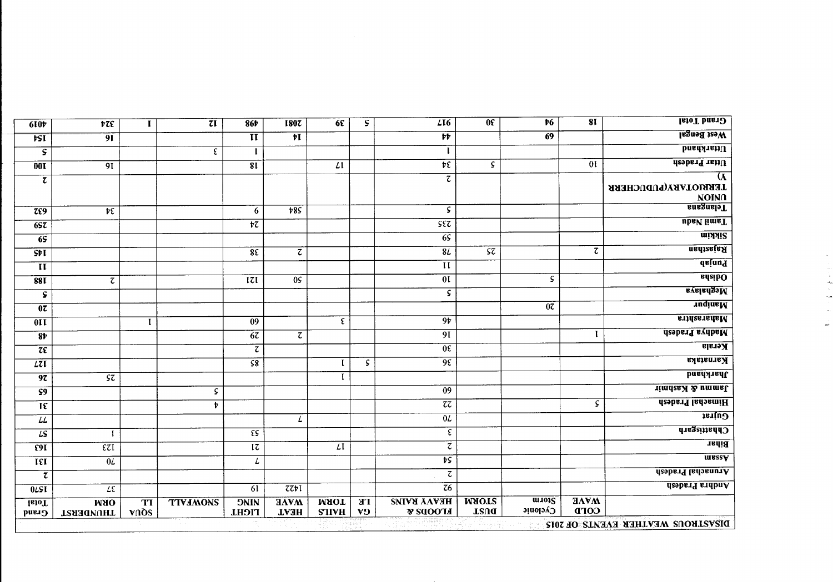| <b>Grand Total</b>                                       | $\overline{8I}$             | $\overline{16}$          | $\overline{0\epsilon}$     | LI6                                   | $\overline{s}$         | $\overline{6}$              | 1807                       | 86t                                            | $\overline{\mathfrak{U}}$ | $\mathbf{I}$                    | $\overline{VZ}$                           | 6I0V                                         |
|----------------------------------------------------------|-----------------------------|--------------------------|----------------------------|---------------------------------------|------------------------|-----------------------------|----------------------------|------------------------------------------------|---------------------------|---------------------------------|-------------------------------------------|----------------------------------------------|
| West Bengal                                              |                             | $\overline{69}$          |                            | $\overline{\mathcal{W}}$              |                        |                             | $\overline{\mathbf{H}}$    | $\overline{\mathbf{H}}$                        |                           |                                 | $\overline{9I}$                           | $\overline{\mathbf{r}}$                      |
| <b>DuanAnanU</b>                                         |                             |                          |                            |                                       |                        |                             |                            |                                                | $\epsilon$                |                                 |                                           | $\overline{\mathbf{s}}$                      |
| Uttar Pradesh                                            | $\overline{0}$              |                          | $\overline{\varsigma}$     | $\overline{\mathfrak{r}\mathfrak{c}}$ |                        | $\mathcal{L} \mathfrak{l}$  |                            | $\overline{81}$                                |                           |                                 | 9I                                        | $\overline{001}$                             |
| $\overline{\mathbf{u}}$<br>TERRIOTARY(PUDUCHERR<br>NOINN |                             |                          |                            | $\overline{\mathfrak{c}}$             |                        |                             |                            |                                                |                           |                                 |                                           | $\overline{\tau}$                            |
| Telangana                                                |                             |                          |                            | S                                     |                        |                             | $\sqrt{8S}$                | 6                                              |                           |                                 | $\overline{\mathbf{r}\mathbf{t}}$         | 759                                          |
| ubsV limsT                                               |                             |                          |                            | SEZ                                   |                        |                             |                            | $\overline{t}$                                 |                           |                                 |                                           | 657                                          |
| <b>THRIM</b>                                             |                             |                          |                            | 65                                    |                        |                             |                            |                                                |                           |                                 |                                           | $\overline{6S}$                              |
| nadizajan                                                | $\mbox{\bf z}$              |                          | $\overline{\varsigma\tau}$ | 8L                                    |                        |                             | $\overline{\mathcal{C}}$   | 8E                                             |                           |                                 |                                           | $\overline{\mathsf{SFL}}$                    |
| <u>dsinuq</u>                                            |                             |                          |                            | $\overline{\mathbf{u}}$               |                        |                             |                            |                                                |                           |                                 |                                           | $\overline{\mathbf{H}}$                      |
| <b>adaibO</b>                                            |                             | $\boldsymbol{\varsigma}$ |                            | $\overline{0}$                        |                        |                             | $\overline{0S}$            | $\overline{\mathfrak{r}}$                      |                           |                                 | $\overline{\zeta}$                        | 88I                                          |
| Meghalaya                                                |                             |                          |                            | S                                     |                        |                             |                            |                                                |                           |                                 |                                           | $\overline{\mathbf{s}}$                      |
| <b>TuqinsM</b>                                           |                             | $\overline{0z}$          |                            |                                       |                        |                             |                            |                                                |                           |                                 |                                           | $\overline{0z}$                              |
| <b>ETHERTERM</b>                                         |                             |                          |                            | 9 <sub>r</sub>                        |                        | ε                           |                            | $\overline{09}$                                |                           | $\mathbf{I}$                    |                                           | $\overline{011}$                             |
| <b>Aadhya</b> Pradesh                                    |                             |                          |                            | 9I                                    |                        |                             | $\overline{\mathcal{C}}$   | $\overline{67}$                                |                           |                                 |                                           | $\overline{\mathbf{8}^{\mathbf{t}}}$         |
| <b>Kerala</b>                                            |                             |                          |                            | $\overline{0\epsilon}$                |                        |                             |                            | $\overline{\zeta}$                             |                           |                                 |                                           | $\overline{z}\overline{\epsilon}$            |
| Karnataka                                                |                             |                          |                            | $\overline{9\epsilon}$                | S                      | $\mathbf I$                 |                            | $\overline{\varsigma\mathrm{g}}$               |                           |                                 |                                           | $\overline{L}$                               |
| <b>DasdArand</b>                                         |                             |                          |                            |                                       |                        |                             |                            |                                                |                           |                                 | $\overline{\mathcal{S}\mathcal{Z}}$       | $\overline{97}$                              |
| Jammu & Kashmir                                          |                             |                          |                            | $\overline{09}$                       |                        |                             |                            |                                                | $\boldsymbol{\varsigma}$  |                                 |                                           | $\overline{\mathsf{s}}\overline{\mathsf{g}}$ |
| Himachal Pradesh                                         | S                           |                          |                            | $\overline{z}\overline{z}$            |                        |                             |                            |                                                | $\mathbf{r}$              |                                 |                                           | $\overline{\text{1}\epsilon}$                |
| Gujrat                                                   |                             |                          |                            | 0L                                    |                        |                             | L                          |                                                |                           |                                 |                                           | $\overline{\mu}$                             |
| <b>Chhattisgarh</b>                                      |                             |                          |                            | ε                                     |                        |                             |                            | $\overline{\epsilon s}$                        |                           |                                 | -1                                        | $\overline{LS}$                              |
| <b>Bihar</b>                                             |                             |                          |                            | $\overline{\mathfrak{c}}$             |                        | LI                          |                            | $\overline{z}$                                 |                           |                                 | $\overline{\epsilon\tau}$                 | $\overline{.}$                               |
| <b>THESSY</b>                                            |                             |                          |                            | $\overline{ts}$                       |                        |                             |                            | L                                              |                           |                                 |                                           |                                              |
| Arunachal Pradesh                                        |                             |                          |                            | $\overline{\zeta}$                    |                        |                             |                            |                                                |                           |                                 | 0L                                        | $\overline{\text{H}}$                        |
| Andhra Pradesh                                           |                             |                          |                            | $\overline{z}6$                       |                        |                             | 7771                       |                                                |                           |                                 |                                           | $\tau$                                       |
|                                                          | <b>MAVVE</b><br><b>COFD</b> | Storm<br>Cyclonic        | <b>MAOTS</b><br>TEUG       | <b>HEAVY RAINS</b><br><b>NEOODS</b>   | <b>TE</b><br><b>V9</b> | <b>MAOT</b><br><b>STIVH</b> | <b>MAVE</b><br><b>HEAT</b> | $\overline{61}$<br><b>ONIN</b><br><b>TIGHL</b> | <b>TIVIMONS</b>           | $\overline{\mathbf{T}}$<br>vnos | $\overline{L}$<br><b>ORM</b><br>THUNDERST | 0LST<br><b>IsioT</b><br><b>Grand</b>         |

 $\sim$ 

 $\frac{1}{2}$ 

 $\frac{1}{\sin \theta}$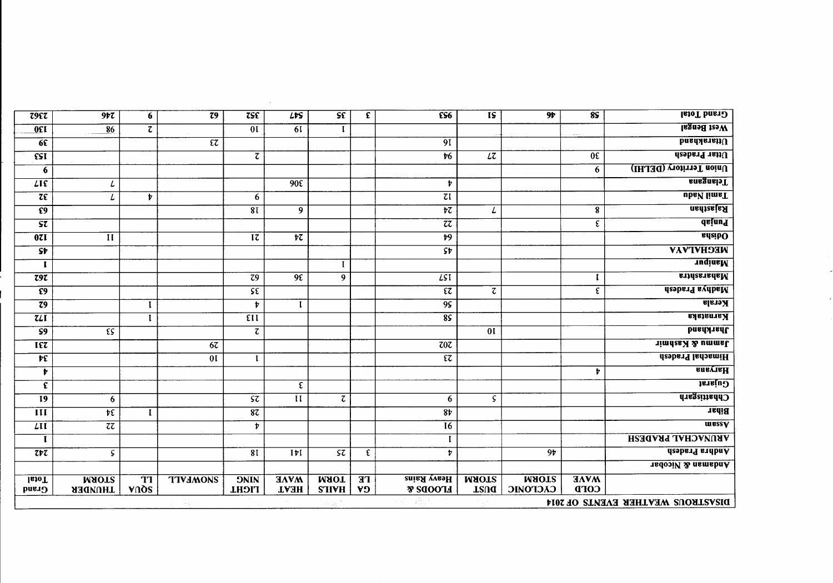| <b>Grand Total</b>                       | $\overline{\mathbf{8}}$     | 9 <sub>p</sub>           | $\overline{\text{IS}}$              | $\overline{\mathbf{ES6}}$                | $\overline{\epsilon}$       | $\overline{\mathsf{S} \mathsf{E}}$ | $L$ rs                                | $\overline{z}$ se                     | $\overline{z}$                    | 6                               | $\overline{9}t\overline{z}$           | $\overline{z}95z$                       |
|------------------------------------------|-----------------------------|--------------------------|-------------------------------------|------------------------------------------|-----------------------------|------------------------------------|---------------------------------------|---------------------------------------|-----------------------------------|---------------------------------|---------------------------------------|-----------------------------------------|
| <b>Hegnad</b> izaW                       |                             |                          |                                     |                                          |                             | 1                                  | 6I                                    | $\overline{0}$                        |                                   | $\overline{\zeta}$              | 86                                    | 0 <sub>1</sub>                          |
| <b>bnsdakratiU</b>                       |                             |                          |                                     | $\overline{9I}$                          |                             |                                    |                                       |                                       | $\overline{\epsilon\overline{z}}$ |                                 |                                       | 6E                                      |
| Uttar Pradesh                            | 0E                          |                          | $\overline{\mathcal{L}\mathcal{L}}$ | $\overline{6}$                           |                             |                                    |                                       | $\tau$                                |                                   |                                 |                                       | $\overline{\text{est}}$                 |
| Union Territory (DELHI)                  | 6                           |                          |                                     |                                          |                             |                                    |                                       |                                       |                                   |                                 |                                       | $\overline{6}$                          |
| <b>Ensanala</b>                          |                             |                          |                                     | $\boldsymbol{v}$                         |                             |                                    | 90E                                   |                                       |                                   |                                 | $\iota$                               | $\overline{LIE}$                        |
| ubay limaT                               |                             |                          |                                     | $\overline{\mathfrak{c}\mathfrak{l}}$    |                             |                                    |                                       | 6                                     |                                   | $\mathbf{r}$                    | L                                     | $\overline{\mathfrak{z}\mathfrak{e}}$   |
| <b>nadizajaA</b>                         | ${\bf 8}$                   |                          | L                                   | $\overline{t}$                           |                             |                                    | 9                                     | $\overline{81}$                       |                                   |                                 |                                       | $\overline{S}$                          |
| dsinuq                                   | $\boldsymbol{\epsilon}$     |                          |                                     | $\overline{z}\overline{z}$               |                             |                                    |                                       |                                       |                                   |                                 |                                       | $\overline{\mathsf{S}\mathsf{Z}}$       |
| <b><i><u><u><b>AlibO</b></u></u></i></b> |                             |                          |                                     | $\overline{1}$                           |                             |                                    | $\overline{\mathfrak{r}\mathfrak{c}}$ | $\overline{\mathfrak{l}\mathfrak{l}}$ |                                   |                                 | $\overline{\mathbf{H}}$               | $\overline{0zI}$                        |
| <b>MEGHVIVAV</b>                         |                             |                          |                                     | $\overline{\mathsf{S} \mathsf{r}}$       |                             |                                    |                                       |                                       |                                   |                                 |                                       | $S_{\bm{r}}$                            |
| <b>TuqinsM</b>                           |                             |                          |                                     |                                          |                             | $\mathbf{I}$                       |                                       |                                       |                                   |                                 |                                       | $\mathbf{I}$                            |
| <b>RTINERTRIAM</b>                       | I                           |                          |                                     | LSI                                      |                             | $\overline{9}$                     | 9E                                    | $\overline{c}$                        |                                   |                                 |                                       | $\overline{z}9\overline{z}$             |
| desbery evabely                          | $\overline{\epsilon}$       |                          | $\overline{\mathcal{L}}$            | $\overline{\epsilon\zeta}$               |                             |                                    |                                       | $\overline{\mathsf{SE}}$              |                                   |                                 |                                       | $\overline{59}$                         |
| <b>Kerala</b>                            |                             |                          |                                     | $\overline{95}$                          |                             |                                    | L                                     | $\mathbf{r}$                          |                                   | $\mathbf{I}$                    |                                       | $\overline{z}$ 9                        |
| Karnataka                                |                             |                          |                                     | 85                                       |                             |                                    |                                       | $\overline{\epsilon}$                 |                                   | $\overline{I}$                  |                                       | $\overline{z}$                          |
| <b>bnstA1sdL</b>                         |                             |                          | $\overline{0}$                      |                                          |                             |                                    |                                       | $\overline{\zeta}$                    |                                   |                                 | $\overline{\epsilon s}$               | $\overline{S9}$                         |
| Jimnas X & ummsl.                        |                             |                          |                                     | $\overline{z}0\overline{z}$              |                             |                                    |                                       |                                       | 67                                |                                 |                                       | $\overline{\text{I} \epsilon \text{Z}}$ |
| Himachal Pradesh                         |                             |                          |                                     | $\overline{\epsilon\overline{z}}$        |                             |                                    |                                       | $\mathbf{I}$                          | $\overline{0}$                    |                                 |                                       | $\overline{\mathbf{r}}$                 |
| <b>BURYIEH</b>                           | $\boldsymbol{r}$            |                          |                                     |                                          |                             |                                    |                                       |                                       |                                   |                                 |                                       | Þ                                       |
| Gujarat                                  |                             |                          |                                     |                                          |                             |                                    | $\overline{\epsilon}$                 |                                       |                                   |                                 |                                       | $\overline{\epsilon}$                   |
| <b>Chhattisgarh</b>                      |                             |                          | S.                                  | 6                                        |                             | $\tau$                             | $\overline{\mathbf{H}}$               | $\varsigma\tau$                       |                                   |                                 | 6                                     | $\overline{19}$                         |
| <b>Bihar</b>                             |                             |                          |                                     | $\overline{8t}$                          |                             |                                    |                                       | 87                                    |                                   | $\overline{I}$                  | $\overline{\mathfrak{r}\mathfrak{c}}$ | $\overline{\mathbf{III}}$               |
| <b>THESE</b>                             |                             |                          |                                     | $\overline{16}$                          |                             |                                    |                                       | $\mathbf{r}$                          |                                   |                                 | $\overline{\text{z}\text{z}}$         | LII                                     |
| <b>ARUNACHAL PRADESH</b>                 |                             |                          |                                     | L                                        |                             |                                    |                                       |                                       |                                   |                                 |                                       | $\mathbf I$                             |
| Andhra Pradesh                           |                             | 9 <sub>v</sub>           |                                     | Þ                                        | ε                           | $\overline{\mathsf{S}\mathsf{Z}}$  | $I \nmid I$                           | 8I                                    |                                   |                                 | $\boldsymbol{\varsigma}$              | 757                                     |
| Andaman & Nicobar                        |                             |                          |                                     |                                          |                             |                                    |                                       |                                       |                                   |                                 |                                       |                                         |
|                                          | <b>MAVVE</b><br><b>COFD</b> | <b>MAOTS</b><br>ЭІ ОТОЛО | <b>MAOTS</b><br>TRUQ                | <b>Heavy Rains</b><br><b>NOODS &amp;</b> | $\overline{B}$<br><b>V9</b> | <b>MAOT</b><br><b>S'IIVH</b>       | <b>HAVM</b><br><b>HEAT</b>            | <b>DNIN</b><br><b>TICHL</b>           | <b>TIVIMONS</b>                   | $\overline{\mathbf{T}}$<br>vnos | <b>MAOTE</b><br><b>THUNDER</b>        | <b>Letal</b><br><b>Crand</b>            |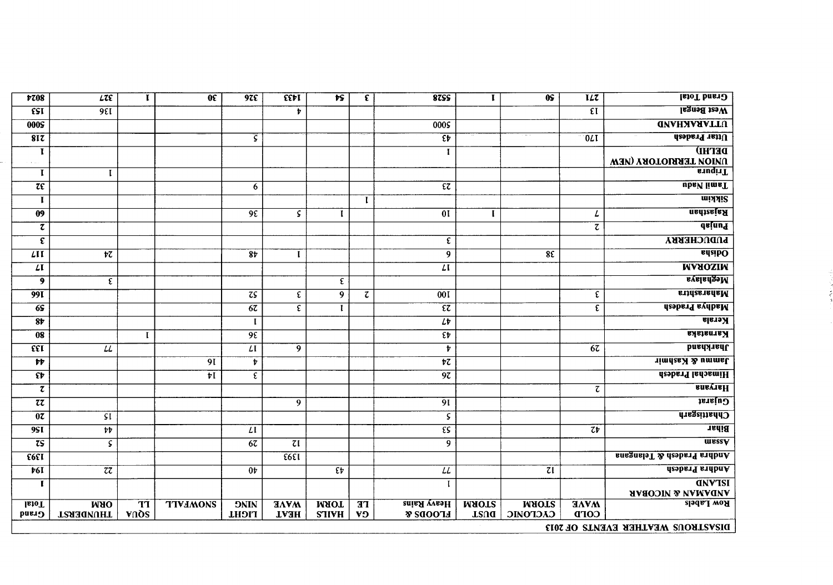| $\overline{r}$                        | $\overline{LZ}$             | $\mathbf{I}$            | $\overline{0}$  | $\overline{925}$       | $\overline{\text{SEPI}}$  | $\overline{\mathbf{r}\mathbf{s}}$        | $\overline{\epsilon}$ | 8755                                     | $\mathbf{I}$ | $\overline{\textbf{0S}}$  | $\overline{\mathbf{z}}$    | <b>Grand Total</b>                     |
|---------------------------------------|-----------------------------|-------------------------|-----------------|------------------------|---------------------------|------------------------------------------|-----------------------|------------------------------------------|--------------|---------------------------|----------------------------|----------------------------------------|
| $\overline{\text{est}}$               | 95I                         |                         |                 |                        | Þ                         |                                          |                       |                                          |              |                           | $\overline{\mathfrak{gl}}$ | West Bengal                            |
| 0005                                  |                             |                         |                 |                        |                           |                                          |                       | 000S                                     |              |                           |                            | <b>UNANAIANDU</b>                      |
| $8I\overline{z}$                      |                             |                         |                 | $\overline{\varsigma}$ |                           |                                          |                       | $\overline{\mathfrak{E}}$                |              |                           | $\overline{0}$             | Uttar Pradesh                          |
| $\mathbf I$                           |                             |                         |                 |                        |                           |                                          |                       |                                          |              |                           |                            | <b>DETHI</b>                           |
|                                       |                             |                         |                 |                        |                           |                                          |                       |                                          |              |                           |                            | UNION TERRIOTORY (NEW<br><b>suqiil</b> |
| $\mathbf I$                           | $\mathbf{I}$                |                         |                 |                        |                           |                                          |                       |                                          |              |                           |                            |                                        |
| $\overline{\mathfrak{z}\mathfrak{e}}$ |                             |                         |                 | 6                      |                           |                                          |                       | $\overline{\epsilon\overline{\epsilon}}$ |              |                           |                            | ubay limaT                             |
| $\mathbf I$                           |                             |                         |                 |                        |                           |                                          | $\mathbf{I}$          |                                          |              |                           |                            | <b>THAIR</b>                           |
| 09                                    |                             |                         |                 | 9E                     | $\mathsf S$               | $\mathbf{I}$                             |                       | $\overline{0}$                           | $\mathbf{I}$ |                           | L                          | nadizaja <b>H</b>                      |
| $\tau$                                |                             |                         |                 |                        |                           |                                          |                       |                                          |              |                           | $\overline{\mathfrak{c}}$  | dsinuq                                 |
| $\overline{\epsilon}$                 |                             |                         |                 |                        |                           |                                          |                       | ε                                        |              |                           |                            | <b>PUDUCHERRY</b>                      |
| $\overline{LII}$                      | $\overline{\mathbf{r}z}$    |                         |                 | 8t                     | $\mathbf{I}$              |                                          |                       | 9                                        |              | 8E                        |                            | <b>adaibO</b>                          |
| $\overline{\mu}$                      |                             |                         |                 |                        |                           |                                          |                       | $\overline{L}$                           |              |                           |                            | <b>WAOSIM</b>                          |
| $\overline{9}$                        | $\boldsymbol{\mathfrak{E}}$ |                         |                 |                        |                           | $\pmb{\epsilon}$                         |                       |                                          |              |                           |                            | Meghalaya                              |
| 99I                                   |                             |                         |                 | $\overline{z}$         | $\overline{\epsilon}$     | $\overline{9}$                           | $\tau$                | $\overline{001}$                         |              |                           | $\boldsymbol{\epsilon}$    | <b>Rundershira</b>                     |
| 65                                    |                             |                         |                 | $\overline{67}$        | $\overline{\epsilon}$     | $\overline{I}$                           |                       | $\overline{\epsilon\overline{\epsilon}}$ |              |                           | $\overline{\epsilon}$      | Madhya Pradesh                         |
| $\overline{\mathbf{8}^{\mathbf{t}}}$  |                             |                         |                 | $\mathbf{I}$           |                           |                                          |                       | $l\bar{v}$                               |              |                           |                            | <b>Kerala</b>                          |
| $\overline{\mathbf{08}}$              |                             | $\mathbf{I}$            |                 | $\overline{9\epsilon}$ |                           |                                          |                       | $\overline{\epsilon}$                    |              |                           |                            | Karnataka                              |
| $\overline{\epsilon \epsilon}$        | $\overline{\mu}$            |                         |                 | $\overline{L}$         | $\overline{9}$            |                                          |                       | $\boldsymbol{v}$                         |              |                           | 67                         | <b>Jharkhand</b>                       |
| $\overline{\mathbf{r}}$               |                             |                         | 9I              | $\overline{r}$         |                           |                                          |                       | $\overline{t}$                           |              |                           |                            | Jammu & Kashmir                        |
| $\overline{\mathbf{E}}$               |                             |                         | $\overline{v}$  | $\overline{\epsilon}$  |                           |                                          |                       | $\overline{9z}$                          |              |                           |                            | <b>Himachal Pradesh</b>                |
| $\tilde{\mathcal{L}}$                 |                             |                         |                 |                        |                           |                                          |                       |                                          |              |                           | $\overline{\textbf{c}}$    | <b>BUBYIEH</b>                         |
| $\overline{z}$                        |                             |                         |                 |                        | 9                         |                                          |                       | $\overline{9I}$                          |              |                           |                            | Gujarat                                |
| $\overline{0z}$                       | SI.                         |                         |                 |                        |                           |                                          |                       | S                                        |              |                           |                            | <b>Chastitisgarh</b>                   |
| 9S <sub>I</sub>                       | $\pmb{\psi}$                |                         |                 | $\mathcal{L}$          |                           |                                          |                       | $\overline{\epsilon s}$                  |              |                           | $\overline{z}$             | <b>Bihar</b>                           |
| $\overline{z}$                        | $\mathsf S$                 |                         |                 | 67                     | $\overline{\mathfrak{c}}$ |                                          |                       | $\overline{9}$                           |              |                           |                            | <b>WESSY</b>                           |
| F66I                                  |                             |                         |                 |                        | $\overline{365}$          |                                          |                       |                                          |              |                           |                            | <b>Andhra Pradesh &amp; Telangana</b>  |
| $\overline{V6I}$                      | $\overline{z}$              |                         |                 | $\overline{0}$         |                           | $\overline{\mathfrak{e}^{\mathfrak{p}}}$ |                       | $\overline{LL}$                          |              | $\overline{\mathfrak{z}}$ |                            | Andhra Pradesh                         |
| I                                     |                             |                         |                 |                        |                           |                                          |                       |                                          |              |                           |                            | <b>GNVTSI</b>                          |
|                                       |                             |                         |                 |                        |                           |                                          |                       |                                          |              |                           |                            | <b>HABAMA &amp; VALUATIOBAR</b>        |
| <b>IsioT</b>                          | <b>ORM</b>                  | $\overline{\mathbf{T}}$ | <b>TIVIMONS</b> | <b>ONINC</b>           | <b>HAVM</b>               | <b>MAOT</b>                              | $\overline{H}$        | <b>Heavy Rains</b>                       | <b>MAOT2</b> | <b>MAOTE</b>              | <b>HAVA</b>                | <b>Row Labels</b>                      |
| Grand                                 | THUNDERST                   | vnos                    |                 | <b>LHOIT</b>           | <b>HEAT</b>               | <b>STIVH</b>                             | VĐ                    | <b>FLOODS</b>                            | TZUQ         | <b>САСГОИІС</b>           | <b>COFD</b>                |                                        |
|                                       |                             |                         |                 |                        |                           |                                          |                       |                                          |              |                           |                            | DISASTROUS WEATHER EVENTS OF 2013      |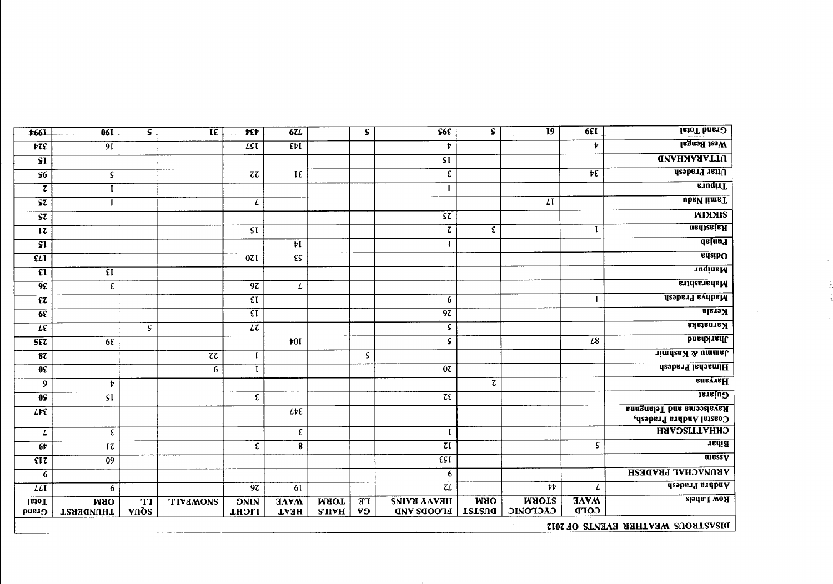| <b>Grand Total</b>                                         | $\overline{651}$                  | $\overline{19}$                 | $\overline{\mathbf{s}}$     | 56E                                     | $\overline{\mathbf{s}}$     |                              | 67L                        | F                                   | $\overline{\text{1}\text{E}}$ | S.                              | <b>061</b>                     | <b>‡66L</b>                             |
|------------------------------------------------------------|-----------------------------------|---------------------------------|-----------------------------|-----------------------------------------|-----------------------------|------------------------------|----------------------------|-------------------------------------|-------------------------------|---------------------------------|--------------------------------|-----------------------------------------|
| West Bengal                                                | $\mathbf{r}$                      |                                 |                             | Þ                                       |                             |                              | $\overline{\mathfrak{E}}$  | LSI                                 |                               |                                 | 9I                             | $\overline{t\overline{z}}$              |
| <b>UTARAHAND</b>                                           |                                   |                                 |                             | $\overline{\mathsf{SI}}$                |                             |                              |                            |                                     |                               |                                 |                                | $\overline{\mathbf{S}}$                 |
| Uttar Pradesh                                              | $\overline{\mathbf{r}\mathbf{t}}$ |                                 |                             | $\overline{\epsilon}$                   |                             |                              | $\overline{1\epsilon}$     | $\overline{z}$                      |                               |                                 | $\mathsf S$                    | $\overline{\mathsf{S6}}$                |
| <b>suqiil</b>                                              |                                   |                                 |                             | $\mathbf{I}$                            |                             |                              |                            |                                     |                               |                                 |                                | τ                                       |
| ubsV limsT                                                 |                                   | $\mathcal{L}$                   |                             |                                         |                             |                              |                            | L                                   |                               |                                 |                                | $\overline{\mathsf{S}\mathsf{Z}}$       |
| <b>WIXXIS</b>                                              |                                   |                                 |                             | $\overline{\mathsf{S}\mathsf{Z}}$       |                             |                              |                            |                                     |                               |                                 |                                | $\overline{\mathsf{S}\mathsf{Z}}$       |
| <b>Rajasthan</b>                                           | $\mathbf{I}$                      |                                 | $\boldsymbol{\epsilon}$     | $\overline{\mathcal{C}}$                |                             |                              |                            | $\overline{\mathsf{SI}}$            |                               |                                 |                                | $\overline{\mathfrak{r}}$               |
| <u>dsinu I</u>                                             |                                   |                                 |                             | I                                       |                             |                              | ŧΙ                         |                                     |                               |                                 |                                | $\overline{\mathsf{SI}}$                |
| <b>R</b> daibO                                             |                                   |                                 |                             |                                         |                             |                              | $\overline{\epsilon s}$    | 0ZI                                 |                               |                                 |                                | $\overline{\epsilon}$                   |
| <b>TuqinaM</b>                                             |                                   |                                 |                             |                                         |                             |                              |                            |                                     |                               |                                 | $\overline{\epsilon}$          | $\overline{\epsilon}$                   |
| <b>RitalariadaM</b>                                        |                                   |                                 |                             |                                         |                             |                              | L                          | $\overline{9z}$                     |                               |                                 | $\epsilon$                     | $\overline{9}$                          |
| <b>Asaberd avdesM</b>                                      | $\blacksquare$                    |                                 |                             | 6                                       |                             |                              |                            | $\overline{\epsilon}$               |                               |                                 |                                | $\overline{\epsilon}$                   |
| <b>Kerala</b>                                              |                                   |                                 |                             | $\overline{97}$                         |                             |                              |                            | $\overline{\epsilon}$               |                               |                                 |                                | 6E                                      |
| Karnataka                                                  |                                   |                                 |                             | $\overline{\varsigma}$                  |                             |                              |                            | $\overline{\mathcal{L}\mathcal{L}}$ |                               | S.                              |                                | $\overline{L}$                          |
| <b>DastAnad</b>                                            | $L_{\rm 8}$                       |                                 |                             | $\overline{\varsigma}$                  |                             |                              | $\overline{v}$             |                                     |                               |                                 | $6\epsilon$                    | $\overline{\text{S} \epsilon \text{Z}}$ |
| Jimnu & Kashmir                                            |                                   |                                 |                             |                                         | S.                          |                              |                            | $\mathbf I$                         | $\overline{z}$                |                                 |                                | 87                                      |
| Himachal Pradesh                                           |                                   |                                 |                             | $\overline{0\zeta}$                     |                             |                              |                            |                                     | 6                             |                                 |                                | $\overline{0}$                          |
| <b>BURYTRH</b>                                             |                                   |                                 | $\overline{\mathcal{C}}$    |                                         |                             |                              |                            |                                     |                               |                                 | $\mathbf{r}$                   | 9                                       |
| Gujarat                                                    |                                   |                                 |                             | $\overline{z}\overline{\epsilon}$       |                             |                              |                            | $\epsilon$                          |                               |                                 | $\overline{\mathsf{SI}}$       | $\overline{0s}$                         |
| <b>Rayalseema and Telangana</b><br>Coastal Andhra Pradesh, |                                   |                                 |                             |                                         |                             |                              | $L\nu\varepsilon$          |                                     |                               |                                 |                                | $L$ re                                  |
| <b>CHHATTISGARH</b>                                        |                                   |                                 |                             | $\mathbf{I}$                            |                             |                              | $\epsilon$                 |                                     |                               |                                 | $\epsilon$                     | L                                       |
| <b>Bihar</b>                                               | $\mathsf{S}$                      |                                 |                             | $\overline{\tau}$                       |                             |                              | $\overline{\mathbf{8}}$    | $\epsilon$                          |                               |                                 | $\overline{\iota\iota}$        | 6 <sup>2</sup>                          |
| messy                                                      |                                   |                                 |                             | $\overline{\epsilon s}$                 |                             |                              |                            |                                     |                               |                                 | $\overline{09}$                | $\overline{\epsilon}$                   |
| <b>ARUNACHAL PRADESH</b>                                   |                                   |                                 |                             | $6\phantom{1}$                          |                             |                              |                            |                                     |                               |                                 |                                | 6                                       |
| Andhra Pradesh                                             | L                                 | $\overline{\mathbf{r}}$         |                             | $\overline{z}$                          |                             |                              | 6I                         | $\overline{97}$                     |                               |                                 | -6                             | LLI                                     |
| <b>Row Labels</b>                                          | <b>HAVM</b><br><b>COFD</b>        | <b>MAOTS</b><br><b>CACPOMIC</b> | <b>ORM</b><br><b>TETEUI</b> | <b>HEAVY RAINS</b><br><b>EFOODS VAD</b> | $\overline{a}$<br><b>V9</b> | <b>MAOT</b><br><b>S'IIVH</b> | <b>HAVW</b><br><b>HEAT</b> | <b>ONINC</b><br><b>TICHL</b>        | <b>TIVJMONS</b>               | $\overline{\mathbf{T}}$<br>vnos | <b>URM</b><br><b>THUNDERST</b> | leioT<br>Grand                          |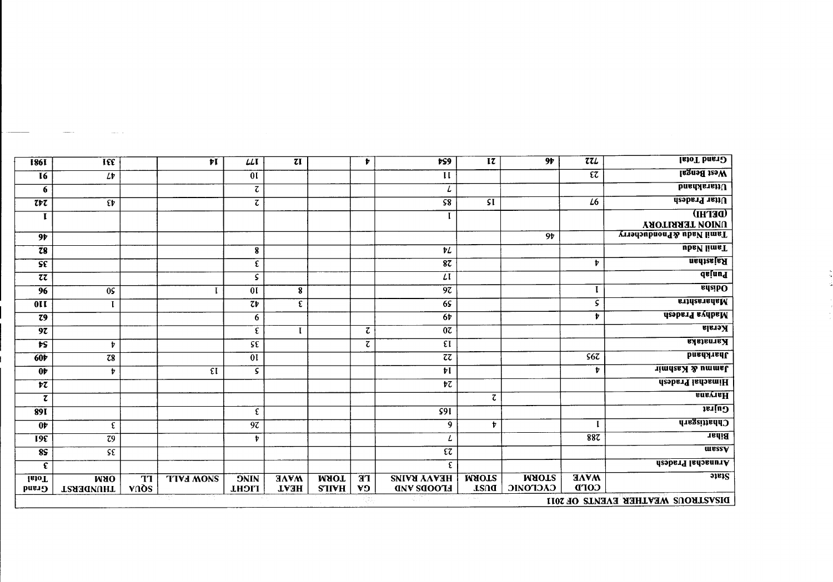| <b>IstoT</b> basi2                   | 77L                                   | 9 <sub>r</sub>                  | $\overline{\mathbf{R}}$  | $\overline{rsg}$                      | Þ                           |                              | $\tau$                     | LLI                          | Ħ                     |                                 | IEE                       | <b>I861</b>                  |
|--------------------------------------|---------------------------------------|---------------------------------|--------------------------|---------------------------------------|-----------------------------|------------------------------|----------------------------|------------------------------|-----------------------|---------------------------------|---------------------------|------------------------------|
| West Bengal                          | $\overline{\mathfrak{c}\mathfrak{c}}$ |                                 |                          | $\mathbf{H}$                          |                             |                              |                            | $\overline{0}$               |                       |                                 | $L^{p}$                   | I6                           |
| <b>DuadAanaiU</b>                    |                                       |                                 |                          | L                                     |                             |                              |                            | $\overline{\textbf{c}}$      |                       |                                 |                           | 6                            |
| Uttar Pradesh                        | $\overline{L6}$                       |                                 | SI                       | $\overline{\varsigma}$                |                             |                              |                            | $\overline{\zeta}$           |                       |                                 | $\overline{\mathfrak{E}}$ | 757                          |
| (DETHI)                              |                                       |                                 |                          |                                       |                             |                              |                            |                              |                       |                                 |                           | $\mathbf I$                  |
| UNION TERRITORY                      |                                       |                                 |                          |                                       |                             |                              |                            |                              |                       |                                 |                           |                              |
| <b>Tamil Nadu &amp; Pnonducherry</b> |                                       | $\overline{9}$                  |                          |                                       |                             |                              |                            |                              |                       |                                 |                           | 9 <sub>r</sub>               |
| ubsV limsT                           |                                       |                                 |                          | $\overline{t}$                        |                             |                              |                            | ${\bf 8}$                    |                       |                                 |                           | $\overline{z}$               |
| <b>Rajasthan</b>                     | $\mathbf{r}$                          |                                 |                          | 87                                    |                             |                              |                            | $\boldsymbol{\mathfrak{E}}$  |                       |                                 |                           | $\overline{\mathsf{SE}}$     |
| <u>dsinng</u>                        |                                       |                                 |                          | $\iota$                               |                             |                              |                            | $\overline{\varsigma}$       |                       |                                 |                           | $\overline{z}$               |
| <b>adaibO</b>                        | $\mathbf I$                           |                                 |                          | 97                                    |                             |                              | 8                          | $\overline{0}$               |                       |                                 | 0 <sup>2</sup>            | 96                           |
| entrienensM                          | $\overline{\mathsf{s}}$               |                                 |                          | 65                                    |                             |                              | $\epsilon$                 | 7Þ                           |                       |                                 |                           | $\overline{0}$               |
| <b>Asabard avalogM</b>               | Þ                                     |                                 |                          | $6\frac{1}{2}$                        |                             |                              |                            | 6                            |                       |                                 |                           | $\overline{z}$               |
| Kerala                               |                                       |                                 |                          | $\overline{0z}$                       | $\overline{\mathfrak{c}}$   |                              | $\mathbf I$                | ε                            |                       |                                 |                           | $\overline{9z}$              |
| Karnataka                            |                                       |                                 |                          | $\overline{\epsilon}$                 | τ                           |                              |                            | Sε                           |                       |                                 | $\mathbf{\dot{v}}$        | $\overline{rs}$              |
| <b>Jharkhand</b>                     | 567                                   |                                 |                          | $\overline{z}\overline{z}$            |                             |                              |                            | 0 <sub>l</sub>               |                       |                                 | $\overline{z}$            | 60 <sub>p</sub>              |
| Jammu & Kashmir                      | t                                     |                                 |                          | $\overline{v}$                        |                             |                              |                            | S                            | $\overline{\epsilon}$ |                                 | $\pmb{\nu}$               | 0 <sup>1</sup>               |
| Himachal Pradesh                     |                                       |                                 |                          | $\overline{\mathfrak{r}\mathfrak{c}}$ |                             |                              |                            |                              |                       |                                 |                           | $\overline{r}$               |
| <b>BURY16H</b>                       |                                       |                                 | $\overline{\mathcal{C}}$ |                                       |                             |                              |                            |                              |                       |                                 |                           | $\tau$                       |
| Gujrat                               |                                       |                                 |                          | $\overline{S91}$                      |                             |                              |                            | $\boldsymbol{\mathfrak{E}}$  |                       |                                 |                           | <b>891</b>                   |
| <b>Chattisgarh</b>                   |                                       |                                 | $\pmb{\nu}$              | 9                                     |                             |                              |                            | $\overline{97}$              |                       |                                 | $\epsilon$                | $0\nu$                       |
| <b>Bihar</b>                         | 887                                   |                                 |                          | L                                     |                             |                              |                            | $\mathbf{v}$                 |                       |                                 | $\overline{z}9$           | 19E                          |
| <b>THESSY</b>                        |                                       |                                 |                          | $\overline{\epsilon\overline{z}}$     |                             |                              |                            |                              |                       |                                 |                           |                              |
| Arunachal Pradesh                    |                                       |                                 |                          |                                       |                             |                              |                            |                              |                       |                                 | $S\epsilon$               | 8S                           |
| state                                | <b>MAVVE</b>                          |                                 |                          | ε                                     |                             |                              |                            |                              |                       |                                 |                           | ε                            |
|                                      | <b>COPD</b>                           | <b>MAOT2</b><br><b>CACTOMIC</b> | <b>MAOT2</b><br>TEUQ     | ΗΕΑVΥ RAINS<br><b>LFOOD2 VAD</b>      | $\overline{H}$<br><b>V9</b> | <b>TORM</b><br><b>S'IIVH</b> | <b>HAVW</b><br><b>HEAT</b> | <b>ONINC</b><br><b>TIGHL</b> | <b>TIVE MONS</b>      | $\overline{\mathbf{T}}$<br>vnos | <b>ORM</b><br>THUNDERST   | <b>IsioT</b><br><b>Grand</b> |
| DISVELISONE MEVILHEIS EAENLE OF 2011 |                                       |                                 |                          |                                       |                             |                              |                            |                              |                       |                                 |                           |                              |

 $\frac{1}{2}$ 

a series and the series of the series of the series of the series of the series of the series of the series of